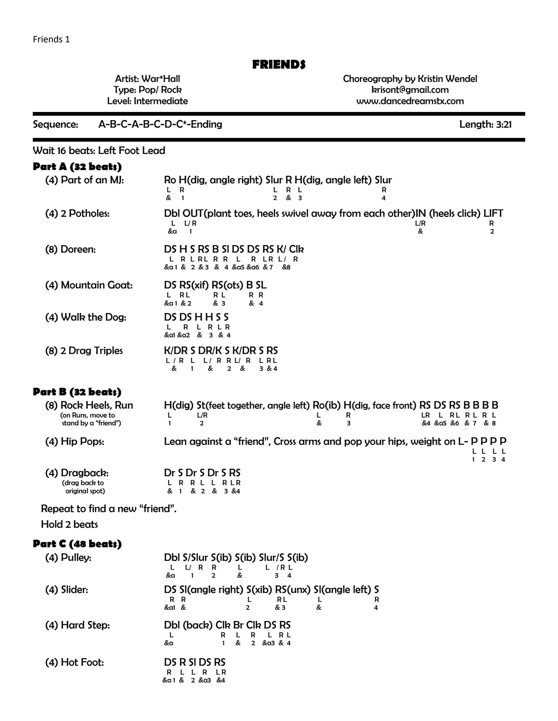## **FRIENDS**

Artist: War\*Hall Type: Pop/ Rock Level: Intermediate Choreography by Kristin Wendel krisont@gmail.com www.dancedreamstx.com

Sequence: A-B-C-A-B-C-D-C\*-Ending Length: 3:21

Wait 16 beats: Left Foot Lead

| Part A (32 beats)                                                |                                                                                                                                                                               |  |  |  |  |  |
|------------------------------------------------------------------|-------------------------------------------------------------------------------------------------------------------------------------------------------------------------------|--|--|--|--|--|
| (4) Part of an MJ:                                               | Ro H(dig, angle right) Slur R H(dig, angle left) Slur<br>R<br>L.<br>R L<br>L<br>R<br>&<br>$\overline{1}$<br>$2 \& 3$<br>4                                                     |  |  |  |  |  |
| (4) 2 Potholes:                                                  | Dbl OUT(plant toes, heels swivel away from each other) IN (heels click) LIFT<br>L/R<br>L/R<br>L.<br>R<br>&a<br>$\mathbf{1}$<br>&<br>2                                         |  |  |  |  |  |
| (8) Doreen:                                                      | DS H S RS B SI DS DS RS K/ Clk<br>$R$ LR $L$ /R<br>L R L R L R R L<br>&a 1 & 2 & 3 & 4 &a5 &a6 & 7<br>&8                                                                      |  |  |  |  |  |
| (4) Mountain Goat:                                               | DS RS(xif) RS(ots) B SL<br>L RL<br>R R<br>R L<br>&a1 & 2<br>& 3<br>& 4                                                                                                        |  |  |  |  |  |
| (4) Walk the Dog:                                                | DS DS H H S S<br>R<br>RLR<br>L<br>&a1 &a2 & 3 & 4                                                                                                                             |  |  |  |  |  |
| (8) 2 Drag Triples                                               | $K/DR$ S DR/K S $K/DR$ S RS<br>L/R L<br>$L/R$ R $L/R$<br>L RL<br>&<br>&<br>$\mathbf{1}$<br>2<br>- &<br>3&4                                                                    |  |  |  |  |  |
| Part B (32 beats)                                                |                                                                                                                                                                               |  |  |  |  |  |
| (8) Rock Heels, Run<br>(on Runs, move to<br>stand by a "friend") | H(dig) St(feet together, angle left) Ro(ib) H(dig, face front) RS DS RS B B B B<br>LR L RL R L R L<br>L/R<br>L<br>R<br>L<br>&<br>з<br>&4 & a5 &6 & 7 & 8<br>$\mathbf{1}$<br>2 |  |  |  |  |  |
| (4) Hip Pops:                                                    | Lean against a "friend", Cross arms and pop your hips, weight on L- P P P P<br>L L<br>$1 \t2 \t3 \t4$                                                                         |  |  |  |  |  |
| (4) Dragback:<br>(drag back to<br>original spot)                 | Dr S Dr S Dr S RS<br>R R L L R L R<br>& 1 & 2 & 3 & 4                                                                                                                         |  |  |  |  |  |
| Repeat to find a new "friend".                                   |                                                                                                                                                                               |  |  |  |  |  |
| Hold 2 beats                                                     |                                                                                                                                                                               |  |  |  |  |  |
| Part C (48 beats)                                                |                                                                                                                                                                               |  |  |  |  |  |
| (4) Pulley:                                                      | Dbl S/Slur S(ib) S(ib) Slur/S S(ib)<br>L/RR<br>L.<br>L<br>L/RL<br>&<br>$\mathbf{1}$<br>$\overline{2}$<br>&a<br>3 <sub>4</sub>                                                 |  |  |  |  |  |
| (4) Slider:                                                      | DS SI(angle right) S(xib) RS(unx) SI(angle left) S<br>R R<br>RL<br>L<br>R<br>L<br>&<br>&a1 &<br>& 3<br>2<br>4                                                                 |  |  |  |  |  |
| (4) Hard Step:                                                   | Dbl (back) Clk Br Clk DS RS<br>R<br>L<br>R<br>L RL<br>L<br>&a<br>$\mathbf{1}$<br>2 & a3 & 4<br>&                                                                              |  |  |  |  |  |
| (4) Hot Foot:                                                    | DS R SI DS RS<br>L L R LR<br>R<br>& a 1 & 2 & a 3 & 4                                                                                                                         |  |  |  |  |  |